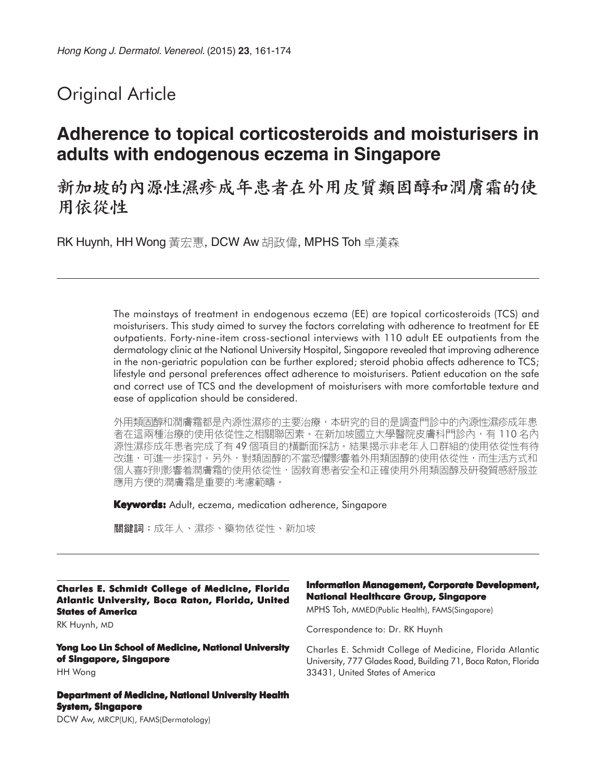# Original Article

# **Adherence to topical corticosteroids and moisturisers in adults with endogenous eczema in Singapore**

新加坡的內源性濕疹成年患者在外用皮質類固醇和潤膚霜的使 用依從性

RK Huynh, HH Wong 黃宏惠, DCW Aw 胡政偉, MPHS Toh 卓漢森

The mainstays of treatment in endogenous eczema (EE) are topical corticosteroids (TCS) and moisturisers. This study aimed to survey the factors correlating with adherence to treatment for EE outpatients. Forty-nine-item cross-sectional interviews with 110 adult EE outpatients from the dermatology clinic at the National University Hospital, Singapore revealed that improving adherence in the non-geriatric population can be further explored; steroid phobia affects adherence to TCS; lifestyle and personal preferences affect adherence to moisturisers. Patient education on the safe and correct use of TCS and the development of moisturisers with more comfortable texture and ease of application should be considered.

外用類固醇和潤膚霜都是內源性濕疹的主要治療,本研究的目的是調查門診中的內源性濕疹成年患 者在這兩種治療的使用依從性之相關聯因素。在新加坡國立大學醫院皮膚科門診內,有110名內 源性濕疹成年患者完成了有49個項目的橫斷面採訪。結果揭示非老年人口群組的使用依從性有待 改進,可進一步探討。另外,對類固醇的不當恐懼影響着外用類固醇的使用依從性,而生活方式和 個人喜好則影響着潤膚霜的使用依從性,固敎育患者安全和正確使用外用類固醇及研發質感舒服並 應用方便的潤膚霜是重要的考慮範疇。

**Keywords:** Adult, eczema, medication adherence, Singapore

關鍵詞:成年人、濕疹、藥物依從性、新加坡

**Charles E. Schmidt College of Medicine, Florida Atlantic University, Boca Raton, Florida, United States of America**

RK Huynh, MD

**Yong Loo Lin School of Medicine, National University of Singapore, Singapore** HH Wong

**Department of Medicine, National University Health System, Singapore** DCW Aw, MRCP(UK), FAMS(Dermatology)

#### **Information Management, Corporate Development, National Healthcare Group, Singapore**

MPHS Toh, MMED(Public Health), FAMS(Singapore)

Correspondence to: Dr. RK Huynh

Charles E. Schmidt College of Medicine, Florida Atlantic University, 777 Glades Road, Building 71, Boca Raton, Florida 33431, United States of America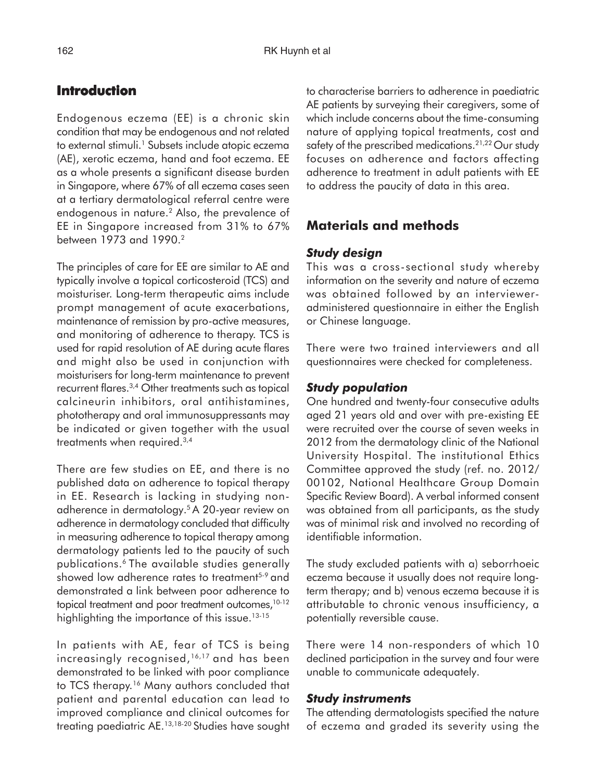# **Introduction**

Endogenous eczema (EE) is a chronic skin condition that may be endogenous and not related to external stimuli.<sup>1</sup> Subsets include atopic eczema (AE), xerotic eczema, hand and foot eczema. EE as a whole presents a significant disease burden in Singapore, where 67% of all eczema cases seen at a tertiary dermatological referral centre were endogenous in nature.2 Also, the prevalence of EE in Singapore increased from 31% to 67% between 1973 and 1990.2

The principles of care for EE are similar to AE and typically involve a topical corticosteroid (TCS) and moisturiser. Long-term therapeutic aims include prompt management of acute exacerbations, maintenance of remission by pro-active measures, and monitoring of adherence to therapy. TCS is used for rapid resolution of AE during acute flares and might also be used in conjunction with moisturisers for long-term maintenance to prevent recurrent flares.3,4 Other treatments such as topical calcineurin inhibitors, oral antihistamines, phototherapy and oral immunosuppressants may be indicated or given together with the usual treatments when required.3,4

There are few studies on EE, and there is no published data on adherence to topical therapy in EE. Research is lacking in studying nonadherence in dermatology.5 A 20-year review on adherence in dermatology concluded that difficulty in measuring adherence to topical therapy among dermatology patients led to the paucity of such publications.6 The available studies generally showed low adherence rates to treatment<sup>5-9</sup> and demonstrated a link between poor adherence to topical treatment and poor treatment outcomes,<sup>10-12</sup> highlighting the importance of this issue.<sup>13-15</sup>

In patients with AE, fear of TCS is being increasingly recognised,  $16,17$  and has been demonstrated to be linked with poor compliance to TCS therapy.<sup>16</sup> Many authors concluded that patient and parental education can lead to improved compliance and clinical outcomes for treating paediatric AE.13,18-20 Studies have sought

to characterise barriers to adherence in paediatric AE patients by surveying their caregivers, some of which include concerns about the time-consuming nature of applying topical treatments, cost and safety of the prescribed medications.<sup>21,22</sup> Our study focuses on adherence and factors affecting adherence to treatment in adult patients with EE to address the paucity of data in this area.

# **Materials and methods**

## *Study design*

This was a cross-sectional study whereby information on the severity and nature of eczema was obtained followed by an intervieweradministered questionnaire in either the English or Chinese language.

There were two trained interviewers and all questionnaires were checked for completeness.

## *Study population*

One hundred and twenty-four consecutive adults aged 21 years old and over with pre-existing EE were recruited over the course of seven weeks in 2012 from the dermatology clinic of the National University Hospital. The institutional Ethics Committee approved the study (ref. no. 2012/ 00102, National Healthcare Group Domain Specific Review Board). A verbal informed consent was obtained from all participants, as the study was of minimal risk and involved no recording of identifiable information.

The study excluded patients with a) seborrhoeic eczema because it usually does not require longterm therapy; and b) venous eczema because it is attributable to chronic venous insufficiency, a potentially reversible cause.

There were 14 non-responders of which 10 declined participation in the survey and four were unable to communicate adequately.

### *Study instruments*

The attending dermatologists specified the nature of eczema and graded its severity using the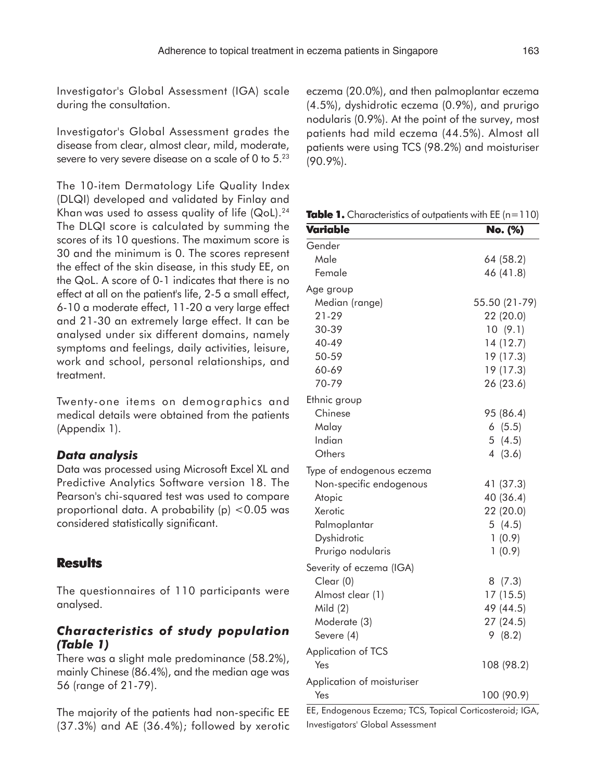Investigator's Global Assessment (IGA) scale during the consultation.

Investigator's Global Assessment grades the disease from clear, almost clear, mild, moderate, severe to very severe disease on a scale of 0 to 5.<sup>23</sup>

The 10-item Dermatology Life Quality Index (DLQI) developed and validated by Finlay and Khan was used to assess quality of life  $(QoL).<sup>24</sup>$ The DLQI score is calculated by summing the scores of its 10 questions. The maximum score is 30 and the minimum is 0. The scores represent the effect of the skin disease, in this study EE, on the QoL. A score of 0-1 indicates that there is no effect at all on the patient's life, 2-5 a small effect, 6-10 a moderate effect, 11-20 a very large effect and 21-30 an extremely large effect. It can be analysed under six different domains, namely symptoms and feelings, daily activities, leisure, work and school, personal relationships, and treatment.

Twenty-one items on demographics and medical details were obtained from the patients (Appendix 1).

### *Data analysis*

Data was processed using Microsoft Excel XL and Predictive Analytics Software version 18. The Pearson's chi-squared test was used to compare proportional data. A probability (p) <0.05 was considered statistically significant.

## **Results**

The questionnaires of 110 participants were analysed.

## *Characteristics of study population (Table 1)*

There was a slight male predominance (58.2%), mainly Chinese (86.4%), and the median age was 56 (range of 21-79).

The majority of the patients had non-specific EE (37.3%) and AE (36.4%); followed by xerotic eczema (20.0%), and then palmoplantar eczema (4.5%), dyshidrotic eczema (0.9%), and prurigo nodularis (0.9%). At the point of the survey, most patients had mild eczema (44.5%). Almost all patients were using TCS (98.2%) and moisturiser (90.9%).

**Table 1.** Characteristics of outpatients with EE (n=110)

| Variable                   | No. (%)       |
|----------------------------|---------------|
| Gender                     |               |
| Male                       | 64 (58.2)     |
| Female                     | 46 (41.8)     |
| Age group                  |               |
| Median (range)             | 55.50 (21-79) |
| 21-29                      | 22 (20.0)     |
| 30-39                      | 10(9.1)       |
| 40-49                      | 14 (12.7)     |
| 50-59                      | 19 (17.3)     |
| 60-69                      | 19 (17.3)     |
| 70-79                      | 26 (23.6)     |
| Ethnic group               |               |
| Chinese                    | 95 (86.4)     |
| Malay                      | 6(5.5)        |
| Indian                     | 5(4.5)        |
| Others                     | 4(3.6)        |
| Type of endogenous eczema  |               |
| Non-specific endogenous    | 41 (37.3)     |
| Atopic                     | 40 (36.4)     |
| Xerotic                    | 22 (20.0)     |
| Palmoplantar               | 5(4.5)        |
| Dyshidrotic                | 1(0.9)        |
| Prurigo nodularis          | 1(0.9)        |
| Severity of eczema (IGA)   |               |
| Clear (0)                  | 8(7.3)        |
| Almost clear (1)           | 17(15.5)      |
| Mild $(2)$                 | 49 (44.5)     |
| Moderate (3)               | 27(24.5)      |
| Severe (4)                 | 9(8.2)        |
| Application of TCS         |               |
| Yes                        | 108 (98.2)    |
| Application of moisturiser |               |
| Yes                        | 100 (90.9)    |

EE, Endogenous Eczema; TCS, Topical Corticosteroid; IGA, Investigators' Global Assessment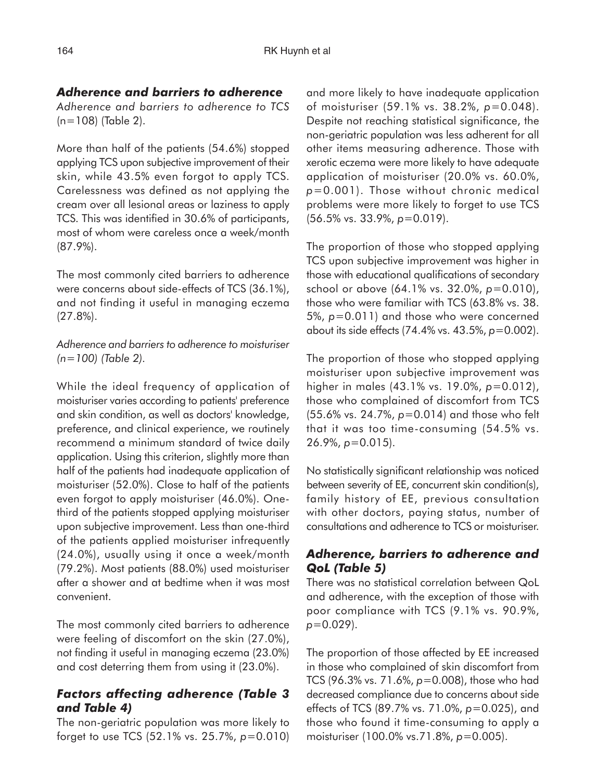# *Adherence and barriers to adherence*

*Adherence and barriers to adherence to TCS* (n=108) (Table 2).

More than half of the patients (54.6%) stopped applying TCS upon subjective improvement of their skin, while 43.5% even forgot to apply TCS. Carelessness was defined as not applying the cream over all lesional areas or laziness to apply TCS. This was identified in 30.6% of participants, most of whom were careless once a week/month (87.9%).

The most commonly cited barriers to adherence were concerns about side-effects of TCS (36.1%), and not finding it useful in managing eczema (27.8%).

*Adherence and barriers to adherence to moisturiser (n=100) (Table 2).*

While the ideal frequency of application of moisturiser varies according to patients' preference and skin condition, as well as doctors' knowledge, preference, and clinical experience, we routinely recommend a minimum standard of twice daily application. Using this criterion, slightly more than half of the patients had inadequate application of moisturiser (52.0%). Close to half of the patients even forgot to apply moisturiser (46.0%). Onethird of the patients stopped applying moisturiser upon subjective improvement. Less than one-third of the patients applied moisturiser infrequently (24.0%), usually using it once a week/month (79.2%). Most patients (88.0%) used moisturiser after a shower and at bedtime when it was most convenient.

The most commonly cited barriers to adherence were feeling of discomfort on the skin (27.0%), not finding it useful in managing eczema (23.0%) and cost deterring them from using it (23.0%).

# *Factors affecting adherence (Table 3 and Table 4)*

The non-geriatric population was more likely to forget to use TCS (52.1% vs. 25.7%, *p*=0.010) and more likely to have inadequate application of moisturiser (59.1% vs. 38.2%, *p*=0.048). Despite not reaching statistical significance, the non-geriatric population was less adherent for all other items measuring adherence. Those with xerotic eczema were more likely to have adequate application of moisturiser (20.0% vs. 60.0%, *p*=0.001). Those without chronic medical problems were more likely to forget to use TCS (56.5% vs. 33.9%, *p*=0.019).

The proportion of those who stopped applying TCS upon subjective improvement was higher in those with educational qualifications of secondary school or above (64.1% vs. 32.0%, *p*=0.010), those who were familiar with TCS (63.8% vs. 38. 5%, *p*=0.011) and those who were concerned about its side effects (74.4% vs. 43.5%, *p*=0.002).

The proportion of those who stopped applying moisturiser upon subjective improvement was higher in males (43.1% vs. 19.0%, *p*=0.012), those who complained of discomfort from TCS (55.6% vs. 24.7%, *p*=0.014) and those who felt that it was too time-consuming (54.5% vs. 26.9%, *p*=0.015).

No statistically significant relationship was noticed between severity of EE, concurrent skin condition(s), family history of EE, previous consultation with other doctors, paying status, number of consultations and adherence to TCS or moisturiser.

# *Adherence, barriers to adherence and QoL (Table 5)*

There was no statistical correlation between QoL and adherence, with the exception of those with poor compliance with TCS (9.1% vs. 90.9%, *p*=0.029).

The proportion of those affected by EE increased in those who complained of skin discomfort from TCS (96.3% vs. 71.6%, *p*=0.008), those who had decreased compliance due to concerns about side effects of TCS (89.7% vs. 71.0%, *p*=0.025), and those who found it time-consuming to apply a moisturiser (100.0% vs.71.8%, *p*=0.005).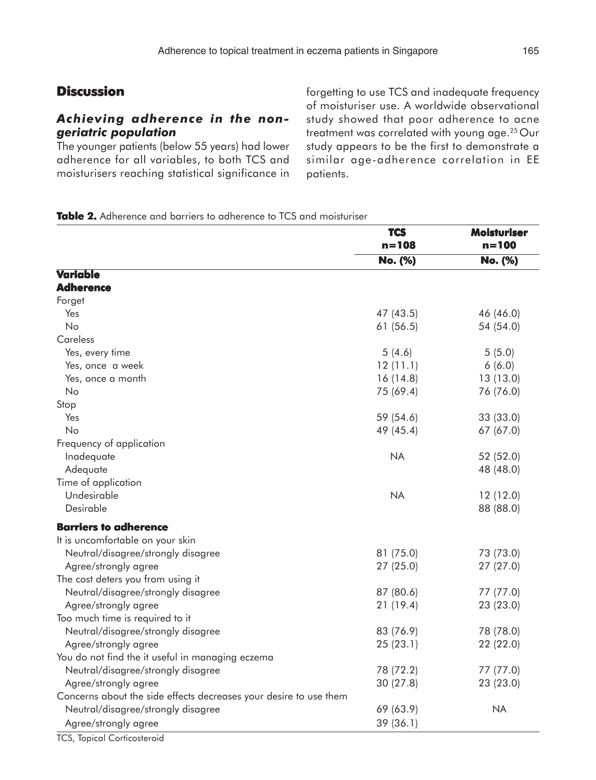# **Discussion**

# *Achieving adherence in the nongeriatric population*

The younger patients (below 55 years) had lower adherence for all variables, to both TCS and moisturisers reaching statistical significance in forgetting to use TCS and inadequate frequency of moisturiser use. A worldwide observational study showed that poor adherence to acne treatment was correlated with young age.25 Our study appears to be the first to demonstrate a similar age-adherence correlation in EE patients.

**Table 2.** Adherence and barriers to adherence to TCS and moisturiser

|                                                                   | <b>TCS</b><br>$n = 108$ | <b>Moisturiser</b><br>$n = 100$ |
|-------------------------------------------------------------------|-------------------------|---------------------------------|
|                                                                   | No. (%)                 | No. (%)                         |
| <b>Variable</b>                                                   |                         |                                 |
| <b>Adherence</b>                                                  |                         |                                 |
| Forget                                                            |                         |                                 |
| Yes                                                               | 47 (43.5)               | 46 (46.0)                       |
| No                                                                | 61(56.5)                | 54 (54.0)                       |
| Careless                                                          |                         |                                 |
| Yes, every time                                                   | 5(4.6)                  | 5(5.0)                          |
| Yes, once a week                                                  | 12(11.1)                | 6(6.0)                          |
| Yes, once a month                                                 | 16(14.8)                | 13(13.0)                        |
| No                                                                | 75 (69.4)               | 76 (76.0)                       |
| Stop                                                              |                         |                                 |
| Yes                                                               | 59 (54.6)               | 33 (33.0)                       |
| No                                                                | 49 (45.4)               | 67 (67.0)                       |
| Frequency of application                                          |                         |                                 |
| Inadequate                                                        | <b>NA</b>               | 52 (52.0)                       |
| Adequate                                                          |                         | 48 (48.0)                       |
| Time of application                                               |                         |                                 |
| Undesirable                                                       | <b>NA</b>               | 12(12.0)                        |
| Desirable                                                         |                         | 88 (88.0)                       |
| <b>Barriers to adherence</b>                                      |                         |                                 |
| It is uncomfortable on your skin                                  |                         |                                 |
| Neutral/disagree/strongly disagree                                | 81 (75.0)               | 73 (73.0)                       |
| Agree/strongly agree                                              | 27(25.0)                | 27(27.0)                        |
| The cost deters you from using it                                 |                         |                                 |
| Neutral/disagree/strongly disagree                                | 87 (80.6)               | 77 (77.0)                       |
| Agree/strongly agree                                              | 21(19.4)                | 23 (23.0)                       |
| Too much time is required to it                                   |                         |                                 |
| Neutral/disagree/strongly disagree                                | 83 (76.9)               | 78 (78.0)                       |
| Agree/strongly agree                                              | 25(23.1)                | 22 (22.0)                       |
| You do not find the it useful in managing eczema                  |                         |                                 |
| Neutral/disagree/strongly disagree                                | 78 (72.2)               | 77 (77.0)                       |
| Agree/strongly agree                                              | 30(27.8)                | 23 (23.0)                       |
| Concerns about the side effects decreases your desire to use them |                         |                                 |
| Neutral/disagree/strongly disagree                                | 69 (63.9)               | <b>NA</b>                       |
| Agree/strongly agree                                              | 39(36.1)                |                                 |
|                                                                   |                         |                                 |

TCS, Topical Corticosteroid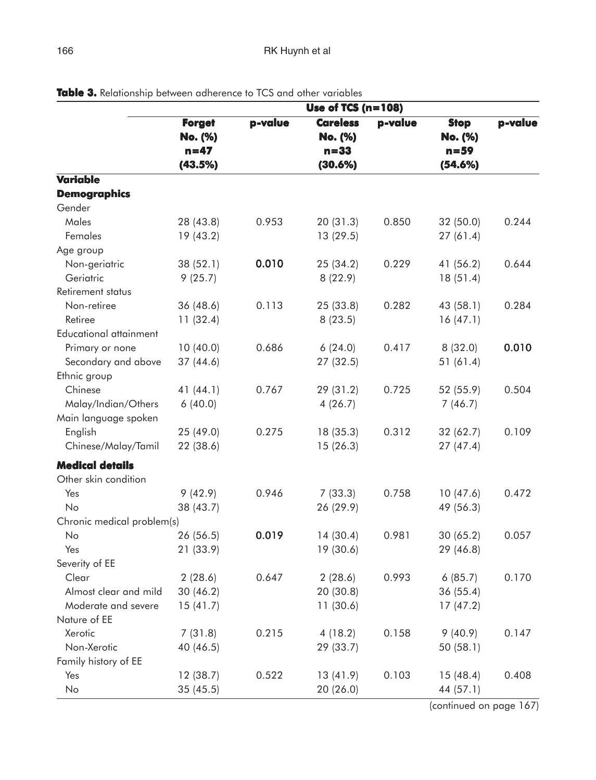|                               |                                                 |         | Use of TCS $(n=108)$                              |         |                                               |         |
|-------------------------------|-------------------------------------------------|---------|---------------------------------------------------|---------|-----------------------------------------------|---------|
|                               | <b>Forget</b><br>No. (%)<br>$n = 47$<br>(43.5%) | p-value | <b>Careless</b><br>No. (%)<br>$n = 33$<br>(30.6%) | p-value | <b>Stop</b><br>No. (%)<br>$n = 59$<br>(54.6%) | p-value |
| <b>Variable</b>               |                                                 |         |                                                   |         |                                               |         |
| <b>Demographics</b>           |                                                 |         |                                                   |         |                                               |         |
| Gender                        |                                                 |         |                                                   |         |                                               |         |
| Males                         | 28 (43.8)                                       | 0.953   | 20 (31.3)                                         | 0.850   | 32(50.0)                                      | 0.244   |
| Females                       | 19(43.2)                                        |         | 13(29.5)                                          |         | 27(61.4)                                      |         |
| Age group                     |                                                 |         |                                                   |         |                                               |         |
| Non-geriatric                 | 38(52.1)                                        | 0.010   | 25 (34.2)                                         | 0.229   | 41 (56.2)                                     | 0.644   |
| Geriatric                     | 9(25.7)                                         |         | 8(22.9)                                           |         | 18(51.4)                                      |         |
| Retirement status             |                                                 |         |                                                   |         |                                               |         |
| Non-retiree                   | 36 (48.6)                                       | 0.113   | 25 (33.8)                                         | 0.282   | 43 (58.1)                                     | 0.284   |
| Retiree                       | 11(32.4)                                        |         | 8(23.5)                                           |         | 16(47.1)                                      |         |
| <b>Educational attainment</b> |                                                 |         |                                                   |         |                                               |         |
| Primary or none               | 10(40.0)                                        | 0.686   | 6(24.0)                                           | 0.417   | 8(32.0)                                       | 0.010   |
| Secondary and above           | 37(44.6)                                        |         | 27 (32.5)                                         |         | 51(61.4)                                      |         |
| Ethnic group                  |                                                 |         |                                                   |         |                                               |         |
| Chinese                       | 41 (44.1)                                       | 0.767   | 29 (31.2)                                         | 0.725   | 52 (55.9)                                     | 0.504   |
| Malay/Indian/Others           | 6(40.0)                                         |         | 4(26.7)                                           |         | 7(46.7)                                       |         |
| Main language spoken          |                                                 |         |                                                   |         |                                               |         |
| English                       | 25 (49.0)                                       | 0.275   | 18 (35.3)                                         | 0.312   | 32(62.7)                                      | 0.109   |
| Chinese/Malay/Tamil           | 22 (38.6)                                       |         | 15(26.3)                                          |         | 27(47.4)                                      |         |
| <b>Medical details</b>        |                                                 |         |                                                   |         |                                               |         |
| Other skin condition          |                                                 |         |                                                   |         |                                               |         |
| Yes                           | 9(42.9)                                         | 0.946   | 7(33.3)                                           | 0.758   | 10(47.6)                                      | 0.472   |
| No                            | 38 (43.7)                                       |         | 26 (29.9)                                         |         | 49 (56.3)                                     |         |
| Chronic medical problem(s)    |                                                 |         |                                                   |         |                                               |         |
| No                            | 26 (56.5)                                       | 0.019   | 14(30.4)                                          | 0.981   | 30(65.2)                                      | 0.057   |
| Yes                           | 21 (33.9)                                       |         | 19 (30.6)                                         |         | 29 (46.8)                                     |         |
| Severity of EE                |                                                 |         |                                                   |         |                                               |         |
| Clear                         | 2(28.6)                                         | 0.647   | 2(28.6)                                           | 0.993   | 6(85.7)                                       | 0.170   |
| Almost clear and mild         | 30(46.2)                                        |         | 20 (30.8)                                         |         | 36(55.4)                                      |         |
| Moderate and severe           | 15(41.7)                                        |         | 11 (30.6)                                         |         | 17(47.2)                                      |         |
| Nature of EE                  |                                                 |         |                                                   |         |                                               |         |
| Xerotic                       | 7(31.8)                                         | 0.215   | 4(18.2)                                           | 0.158   | 9(40.9)                                       | 0.147   |
| Non-Xerotic                   | 40 (46.5)                                       |         | 29 (33.7)                                         |         | 50(58.1)                                      |         |
| Family history of EE          |                                                 |         |                                                   |         |                                               |         |
| Yes                           | 12(38.7)                                        | 0.522   | 13(41.9)                                          | 0.103   | 15(48.4)                                      | 0.408   |
| No                            | 35(45.5)                                        |         | 20 (26.0)                                         |         | 44 (57.1)                                     |         |

Table 3. Relationship between adherence to TCS and other variables

(continued on page 167)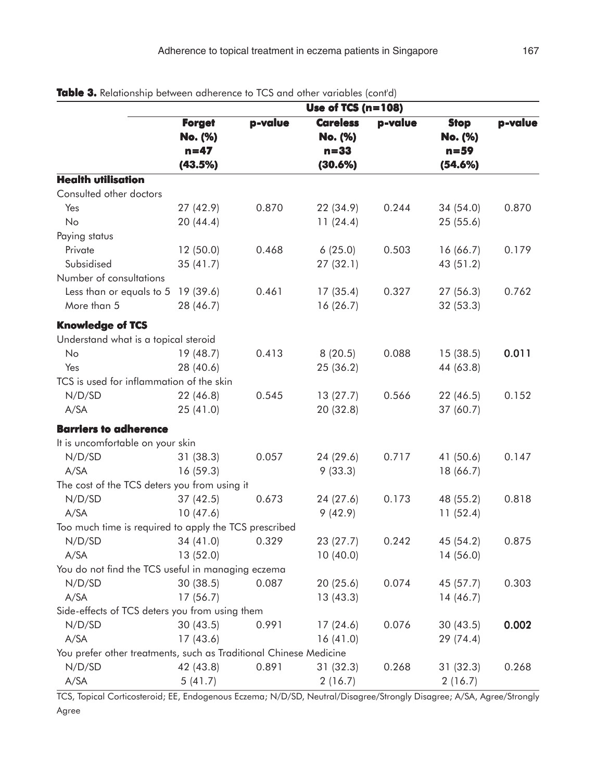|                                                                   |                                                 |         | Use of TCS $(n=108)$                              |         |                                               |         |
|-------------------------------------------------------------------|-------------------------------------------------|---------|---------------------------------------------------|---------|-----------------------------------------------|---------|
|                                                                   | <b>Forget</b><br>No. (%)<br>$n = 47$<br>(43.5%) | p-value | <b>Careless</b><br>No. (%)<br>$n = 33$<br>(30.6%) | p-value | <b>Stop</b><br>No. (%)<br>$n = 59$<br>(54.6%) | p-value |
| <b>Health utilisation</b>                                         |                                                 |         |                                                   |         |                                               |         |
| Consulted other doctors                                           |                                                 |         |                                                   |         |                                               |         |
| Yes                                                               | 27(42.9)                                        | 0.870   | 22 (34.9)                                         | 0.244   | 34(54.0)                                      | 0.870   |
| No                                                                | 20(44.4)                                        |         | 11(24.4)                                          |         | 25(55.6)                                      |         |
| Paying status                                                     |                                                 |         |                                                   |         |                                               |         |
| Private                                                           | 12(50.0)                                        | 0.468   | 6(25.0)                                           | 0.503   | 16(66.7)                                      | 0.179   |
| Subsidised                                                        | 35(41.7)                                        |         | 27(32.1)                                          |         | 43 (51.2)                                     |         |
| Number of consultations                                           |                                                 |         |                                                   |         |                                               |         |
| Less than or equals to 5                                          | 19 (39.6)                                       | 0.461   | 17(35.4)                                          | 0.327   | 27(56.3)                                      | 0.762   |
| More than 5                                                       | 28 (46.7)                                       |         | 16(26.7)                                          |         | 32 (53.3)                                     |         |
|                                                                   |                                                 |         |                                                   |         |                                               |         |
| <b>Knowledge of TCS</b>                                           |                                                 |         |                                                   |         |                                               |         |
| Understand what is a topical steroid                              |                                                 |         |                                                   |         |                                               |         |
| No                                                                | 19(48.7)                                        | 0.413   | 8(20.5)                                           | 0.088   | 15(38.5)                                      | 0.011   |
| Yes                                                               | 28 (40.6)                                       |         | 25(36.2)                                          |         | 44 (63.8)                                     |         |
| TCS is used for inflammation of the skin                          |                                                 |         |                                                   |         |                                               |         |
| N/D/SD                                                            | 22 (46.8)                                       | 0.545   | 13(27.7)                                          | 0.566   | 22(46.5)                                      | 0.152   |
| A/SA                                                              | 25(41.0)                                        |         | 20 (32.8)                                         |         | 37(60.7)                                      |         |
| <b>Barriers to adherence</b>                                      |                                                 |         |                                                   |         |                                               |         |
| It is uncomfortable on your skin                                  |                                                 |         |                                                   |         |                                               |         |
| N/D/SD                                                            | 31(38.3)                                        | 0.057   | 24 (29.6)                                         | 0.717   | 41 (50.6)                                     | 0.147   |
| A/SA                                                              | 16(59.3)                                        |         | 9(33.3)                                           |         | 18 (66.7)                                     |         |
| The cost of the TCS deters you from using it                      |                                                 |         |                                                   |         |                                               |         |
| N/D/SD                                                            | 37(42.5)                                        | 0.673   | 24 (27.6)                                         | 0.173   | 48 (55.2)                                     | 0.818   |
| A/SA                                                              | 10(47.6)                                        |         | 9(42.9)                                           |         | 11(52.4)                                      |         |
| Too much time is required to apply the TCS prescribed             |                                                 |         |                                                   |         |                                               |         |
| N/D/SD                                                            | 34 (41.0)                                       | 0.329   | 23(27.7)                                          | 0.242   | 45 (54.2)                                     | 0.875   |
| A/SA                                                              | 13 (52.0)                                       |         | 10(40.0)                                          |         | 14(56.0)                                      |         |
| You do not find the TCS useful in managing eczema                 |                                                 |         |                                                   |         |                                               |         |
| N/D/SD                                                            | 30(38.5)                                        | 0.087   | 20(25.6)                                          | 0.074   | 45 (57.7)                                     | 0.303   |
| A/SA                                                              | 17(56.7)                                        |         | 13(43.3)                                          |         | 14(46.7)                                      |         |
| Side-effects of TCS deters you from using them                    |                                                 |         |                                                   |         |                                               |         |
| N/D/SD                                                            | 30(43.5)                                        | 0.991   | 17(24.6)                                          | 0.076   | 30(43.5)                                      | 0.002   |
| A/SA                                                              | 17(43.6)                                        |         | 16(41.0)                                          |         | 29 (74.4)                                     |         |
| You prefer other treatments, such as Traditional Chinese Medicine |                                                 |         |                                                   |         |                                               |         |
| N/D/SD                                                            | 42 (43.8)                                       | 0.891   | 31(32.3)                                          | 0.268   | 31(32.3)                                      | 0.268   |
| A/SA                                                              | 5(41.7)                                         |         | 2(16.7)                                           |         | 2(16.7)                                       |         |

| Table 3. Relationship between adherence to TCS and other variables (cont'd) |  |  |
|-----------------------------------------------------------------------------|--|--|
|-----------------------------------------------------------------------------|--|--|

TCS, Topical Corticosteroid; EE, Endogenous Eczema; N/D/SD, Neutral/Disagree/Strongly Disagree; A/SA, Agree/Strongly Agree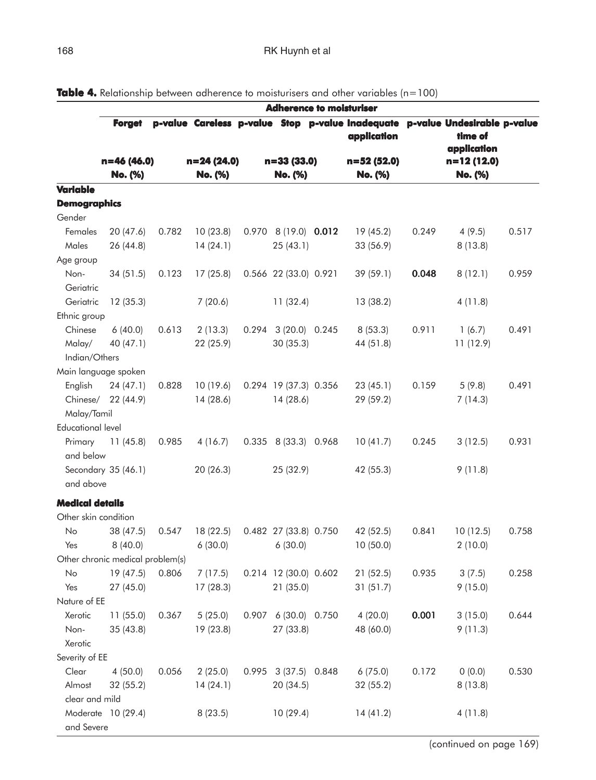|                          |                                  |       |              | <b>Adherence to moisturiser</b> |                                                                                             |       |                        |       |
|--------------------------|----------------------------------|-------|--------------|---------------------------------|---------------------------------------------------------------------------------------------|-------|------------------------|-------|
|                          | <b>Foraet</b>                    |       |              |                                 | p-value Careless p-value Stop p-value Inadequate p-value Undesirable p-value<br>application |       | time of<br>application |       |
|                          | $n=46(46.0)$                     |       | $n=24(24.0)$ | $n = 33(33.0)$                  | $n = 52(52.0)$                                                                              |       | n=12 (12.0)            |       |
|                          | No. (%)                          |       | No. (%)      | No. (%)                         | No. (%)                                                                                     |       | No. (%)                |       |
| <b>Variable</b>          |                                  |       |              |                                 |                                                                                             |       |                        |       |
| <b>Demographics</b>      |                                  |       |              |                                 |                                                                                             |       |                        |       |
| Gender                   |                                  |       |              |                                 |                                                                                             |       |                        |       |
| Females                  | 20(47.6)                         | 0.782 | 10(23.8)     | $0.970$ 8 (19.0) 0.012          | 19 (45.2)                                                                                   | 0.249 | 4(9.5)                 | 0.517 |
| Males                    | 26 (44.8)                        |       | 14(24.1)     | 25(43.1)                        | 33 (56.9)                                                                                   |       | 8(13.8)                |       |
| Age group                |                                  |       |              |                                 |                                                                                             |       |                        |       |
| Non-                     | 34(51.5)                         | 0.123 | 17(25.8)     | 0.566 22 (33.0) 0.921           | 39 (59.1)                                                                                   | 0.048 | 8(12.1)                | 0.959 |
| Geriatric                |                                  |       |              |                                 |                                                                                             |       |                        |       |
| Geriatric                | 12(35.3)                         |       | 7(20.6)      | 11(32.4)                        | 13 (38.2)                                                                                   |       | 4(11.8)                |       |
| Ethnic group             |                                  |       |              |                                 |                                                                                             |       |                        |       |
| Chinese                  | 6(40.0)                          | 0.613 | 2(13.3)      | $0.294$ 3 (20.0) 0.245          | 8(53.3)                                                                                     | 0.911 | 1(6.7)                 | 0.491 |
| Malay/                   | 40 (47.1)                        |       | 22(25.9)     | 30 (35.3)                       | 44 (51.8)                                                                                   |       | 11 (12.9)              |       |
| Indian/Others            |                                  |       |              |                                 |                                                                                             |       |                        |       |
|                          | Main language spoken             |       |              |                                 |                                                                                             |       |                        |       |
| English                  | 24(47.1)                         | 0.828 | 10(19.6)     | 0.294 19 (37.3) 0.356           | 23(45.1)                                                                                    | 0.159 | 5(9.8)                 | 0.491 |
|                          | Chinese/ 22 (44.9)               |       | 14(28.6)     | 14(28.6)                        | 29 (59.2)                                                                                   |       | 7(14.3)                |       |
| Malay/Tamil              |                                  |       |              |                                 |                                                                                             |       |                        |       |
| <b>Educational level</b> |                                  |       |              |                                 |                                                                                             |       |                        |       |
| Primary                  | 11(45.8)                         | 0.985 | 4(16.7)      | 0.335 8 (33.3) 0.968            | 10(41.7)                                                                                    | 0.245 | 3(12.5)                | 0.931 |
| and below                |                                  |       |              |                                 |                                                                                             |       |                        |       |
|                          | Secondary 35 (46.1)              |       | 20(26.3)     | 25 (32.9)                       | 42 (55.3)                                                                                   |       | 9(11.8)                |       |
| and above                |                                  |       |              |                                 |                                                                                             |       |                        |       |
| <b>Medical details</b>   |                                  |       |              |                                 |                                                                                             |       |                        |       |
| Other skin condition     |                                  |       |              |                                 |                                                                                             |       |                        |       |
| No                       | 38 (47.5)                        | 0.547 | 18(22.5)     | 0.482 27 (33.8) 0.750           | 42 (52.5)                                                                                   | 0.841 | 10(12.5)               | 0.758 |
| Yes                      | 8(40.0)                          |       | 6(30.0)      | 6(30.0)                         | 10(50.0)                                                                                    |       | 2(10.0)                |       |
|                          | Other chronic medical problem(s) |       |              |                                 |                                                                                             |       |                        |       |
| No                       | 19(47.5)                         | 0.806 | 7(17.5)      | 0.214 12 (30.0) 0.602           | 21(52.5)                                                                                    | 0.935 | 3(7.5)                 | 0.258 |
| Yes                      | 27(45.0)                         |       | 17(28.3)     | 21 (35.0)                       | 31(51.7)                                                                                    |       | 9(15.0)                |       |
| Nature of EE             |                                  |       |              |                                 |                                                                                             |       |                        |       |
| Xerotic                  | 11(55.0)                         | 0.367 | 5(25.0)      | 0.907 6 (30.0) 0.750            | 4(20.0)                                                                                     | 0.001 | 3(15.0)                | 0.644 |
| Non-                     | 35(43.8)                         |       | 19(23.8)     | 27 (33.8)                       | 48 (60.0)                                                                                   |       | 9(11.3)                |       |
| Xerotic                  |                                  |       |              |                                 |                                                                                             |       |                        |       |
| Severity of EE           |                                  |       |              |                                 |                                                                                             |       |                        |       |
| Clear                    | 4(50.0)                          | 0.056 | 2(25.0)      | 0.995 3 (37.5) 0.848            | 6(75.0)                                                                                     | 0.172 | 0(0.0)                 | 0.530 |
| Almost                   | 32(55.2)                         |       | 14(24.1)     | 20 (34.5)                       | 32(55.2)                                                                                    |       | 8(13.8)                |       |
| clear and mild           |                                  |       |              |                                 |                                                                                             |       |                        |       |
|                          | Moderate 10 (29.4)               |       | 8(23.5)      | 10(29.4)                        | 14(41.2)                                                                                    |       | 4(11.8)                |       |
| and Severe               |                                  |       |              |                                 |                                                                                             |       |                        |       |

| <b>Table 4.</b> Relationship between adherence to moisturisers and other variables (n=100) |  |  |  |  |  |  |  |
|--------------------------------------------------------------------------------------------|--|--|--|--|--|--|--|
|--------------------------------------------------------------------------------------------|--|--|--|--|--|--|--|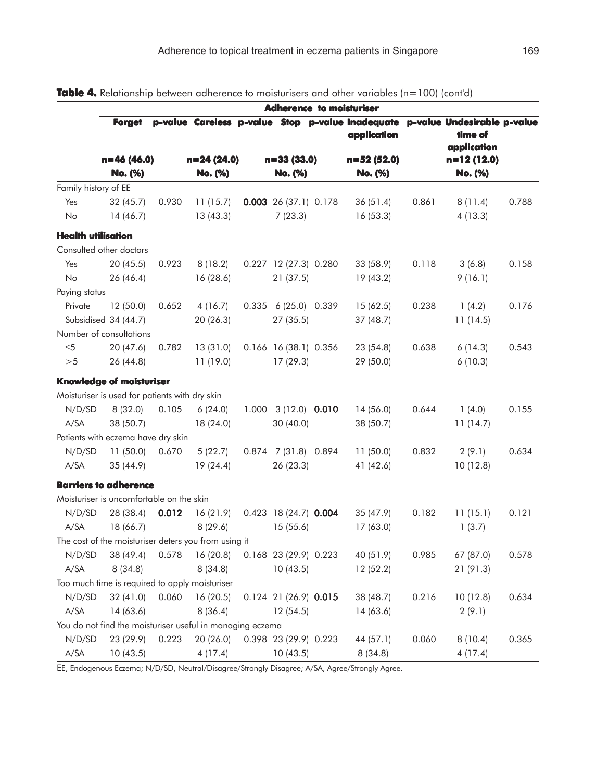|                           |                                                           |       |              | <b>Adherence to moisturiser</b> |                                                                 |       |                                                       |       |
|---------------------------|-----------------------------------------------------------|-------|--------------|---------------------------------|-----------------------------------------------------------------|-------|-------------------------------------------------------|-------|
|                           | <b>Forget</b>                                             |       |              |                                 | p-value Careless p-value Stop p-value Inadequate<br>application |       | p-value Undesirable p-value<br>time of<br>application |       |
|                           | n=46 (46.0)                                               |       | $n=24(24.0)$ | $n = 33(33.0)$                  | $n = 52(52.0)$                                                  |       | n=12 (12.0)                                           |       |
|                           | No. (%)                                                   |       | No. (%)      | No. (%)                         | No. (%)                                                         |       | No. (%)                                               |       |
| Family history of EE      |                                                           |       |              |                                 |                                                                 |       |                                                       |       |
| Yes                       | 32(45.7)                                                  | 0.930 | 11(15.7)     | <b>0.003</b> 26 (37.1) 0.178    | 36(51.4)                                                        | 0.861 | 8(11.4)                                               | 0.788 |
| No                        | 14(46.7)                                                  |       | 13(43.3)     | 7(23.3)                         | 16(53.3)                                                        |       | 4(13.3)                                               |       |
| <b>Health utilisation</b> |                                                           |       |              |                                 |                                                                 |       |                                                       |       |
|                           | Consulted other doctors                                   |       |              |                                 |                                                                 |       |                                                       |       |
| Yes                       | 20(45.5)                                                  | 0.923 | 8(18.2)      | 0.227 12 (27.3) 0.280           | 33 (58.9)                                                       | 0.118 | 3(6.8)                                                | 0.158 |
| No                        | 26(46.4)                                                  |       | 16(28.6)     | 21(37.5)                        | 19 (43.2)                                                       |       | 9(16.1)                                               |       |
| Paying status             |                                                           |       |              |                                 |                                                                 |       |                                                       |       |
| Private                   | 12(50.0)                                                  | 0.652 | 4(16.7)      | 0.335 6 (25.0) 0.339            | 15(62.5)                                                        | 0.238 | 1(4.2)                                                | 0.176 |
|                           | Subsidised 34 (44.7)                                      |       | 20 (26.3)    | 27(35.5)                        | 37(48.7)                                                        |       | 11(14.5)                                              |       |
|                           | Number of consultations                                   |       |              |                                 |                                                                 |       |                                                       |       |
| $\leq 5$                  | 20(47.6)                                                  | 0.782 | 13(31.0)     | 0.166 16 (38.1) 0.356           | 23 (54.8)                                                       | 0.638 | 6(14.3)                                               | 0.543 |
| >5                        | 26 (44.8)                                                 |       | 11(19.0)     | 17(29.3)                        | 29 (50.0)                                                       |       | 6(10.3)                                               |       |
|                           | <b>Knowledge of moisturiser</b>                           |       |              |                                 |                                                                 |       |                                                       |       |
|                           | Moisturiser is used for patients with dry skin            |       |              |                                 |                                                                 |       |                                                       |       |
| N/D/SD                    | 8(32.0)                                                   | 0.105 | 6(24.0)      | 1.000 3 (12.0) 0.010            | 14(56.0)                                                        | 0.644 | 1(4.0)                                                | 0.155 |
| A/SA                      | 38 (50.7)                                                 |       | 18(24.0)     | 30(40.0)                        | 38 (50.7)                                                       |       | 11(14.7)                                              |       |
|                           | Patients with eczema have dry skin                        |       |              |                                 |                                                                 |       |                                                       |       |
| N/D/SD                    | 11(50.0)                                                  | 0.670 | 5(22.7)      | 0.874 7 (31.8) 0.894            | 11(50.0)                                                        | 0.832 | 2(9.1)                                                | 0.634 |
| A/SA                      | 35(44.9)                                                  |       | 19(24.4)     | 26 (23.3)                       | 41 (42.6)                                                       |       | 10(12.8)                                              |       |
|                           | <b>Barriers to adherence</b>                              |       |              |                                 |                                                                 |       |                                                       |       |
|                           | Moisturiser is uncomfortable on the skin                  |       |              |                                 |                                                                 |       |                                                       |       |
| N/D/SD                    | 28 (38.4)                                                 | 0.012 | 16 (21.9)    | $0.423$ 18 (24.7) 0.004         | 35(47.9)                                                        | 0.182 | 11(15.1)                                              | 0.121 |
| A/SA                      | 18 (66.7)                                                 |       | 8(29.6)      | 15(55.6)                        | 17(63.0)                                                        |       | 1(3.7)                                                |       |
|                           | The cost of the moisturiser deters you from using it      |       |              |                                 |                                                                 |       |                                                       |       |
| N/D/SD                    | 38 (49.4)                                                 | 0.578 | 16 (20.8)    | 0.168 23 (29.9) 0.223           | 40 (51.9)                                                       | 0.985 | 67 (87.0)                                             | 0.578 |
| A/SA                      | 8(34.8)                                                   |       | 8(34.8)      | 10(43.5)                        | 12(52.2)                                                        |       | 21 (91.3)                                             |       |
|                           | Too much time is required to apply moisturiser            |       |              |                                 |                                                                 |       |                                                       |       |
| N/D/SD                    | 32(41.0)                                                  | 0.060 | 16(20.5)     | $0.124$ 21 (26.9) 0.015         | 38 (48.7)                                                       | 0.216 | 10(12.8)                                              | 0.634 |
| A/SA                      | 14 (63.6)                                                 |       | 8(36.4)      | 12(54.5)                        | 14 (63.6)                                                       |       | 2(9.1)                                                |       |
|                           | You do not find the moisturiser useful in managing eczema |       |              |                                 |                                                                 |       |                                                       |       |
| N/D/SD                    | 23 (29.9)                                                 | 0.223 | 20(26.0)     | 0.398 23 (29.9) 0.223           | 44 (57.1)                                                       | 0.060 | 8(10.4)                                               | 0.365 |
| A/SA                      | 10(43.5)                                                  |       | 4(17.4)      | 10(43.5)                        | 8(34.8)                                                         |       | 4(17.4)                                               |       |

## **Table 4.** Relationship between adherence to moisturisers and other variables (n=100) (cont'd)

EE, Endogenous Eczema; N/D/SD, Neutral/Disagree/Strongly Disagree; A/SA, Agree/Strongly Agree.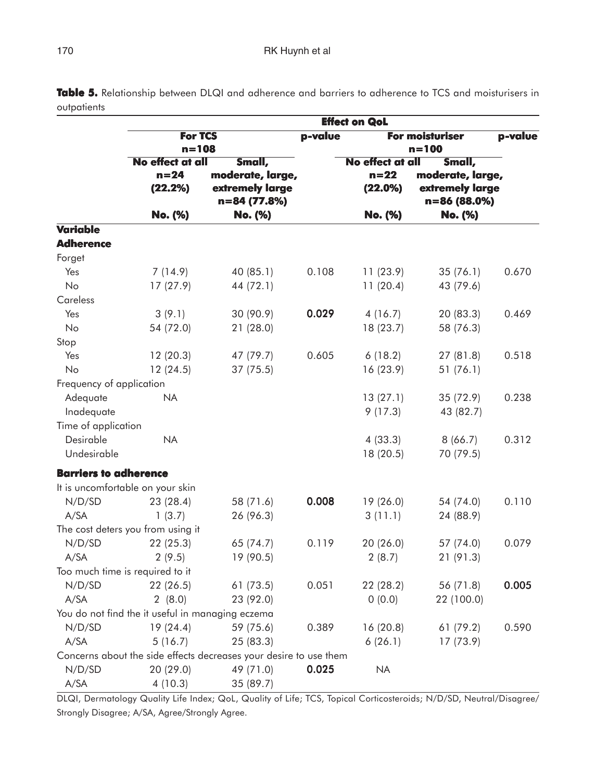|                                 |                                                  |                                                                   |         | <b>Effect on QoL</b> |                                                     |       |
|---------------------------------|--------------------------------------------------|-------------------------------------------------------------------|---------|----------------------|-----------------------------------------------------|-------|
|                                 | <b>For TCS</b>                                   |                                                                   | p-value | p-value              |                                                     |       |
|                                 | $n = 108$                                        |                                                                   |         |                      | $n = 100$                                           |       |
|                                 | No effect at all                                 | Small,                                                            |         | No effect at all     | Small,                                              |       |
|                                 | $n=24$<br>(22.2%)                                | moderate, large,<br>extremely large<br>n=84 (77.8%)               |         | $n=22$<br>(22.0%)    | moderate, large,<br>extremely large<br>n=86 (88.0%) |       |
|                                 | No. (%)                                          | No. (%)                                                           |         | No. (%)              | No. (%)                                             |       |
| <b>Variable</b>                 |                                                  |                                                                   |         |                      |                                                     |       |
| <b>Adherence</b>                |                                                  |                                                                   |         |                      |                                                     |       |
| Forget                          |                                                  |                                                                   |         |                      |                                                     |       |
| Yes                             | 7(14.9)                                          | 40 (85.1)                                                         | 0.108   | 11(23.9)             | 35(76.1)                                            | 0.670 |
| No                              | 17(27.9)                                         | 44 (72.1)                                                         |         | 11(20.4)             | 43 (79.6)                                           |       |
| Careless                        |                                                  |                                                                   |         |                      |                                                     |       |
| Yes                             | 3(9.1)                                           | 30 (90.9)                                                         | 0.029   | 4(16.7)              | 20 (83.3)                                           | 0.469 |
| No                              | 54 (72.0)                                        | 21(28.0)                                                          |         | 18 (23.7)            | 58 (76.3)                                           |       |
| Stop                            |                                                  |                                                                   |         |                      |                                                     |       |
| Yes                             | 12(20.3)                                         | 47 (79.7)                                                         | 0.605   | 6(18.2)              | 27(81.8)                                            | 0.518 |
| No                              | 12(24.5)                                         | 37(75.5)                                                          |         | 16 (23.9)            | 51(76.1)                                            |       |
| Frequency of application        |                                                  |                                                                   |         |                      |                                                     |       |
| Adequate                        | <b>NA</b>                                        |                                                                   |         | 13(27.1)             | 35 (72.9)                                           | 0.238 |
| Inadequate                      |                                                  |                                                                   |         | 9(17.3)              | 43 (82.7)                                           |       |
| Time of application             |                                                  |                                                                   |         |                      |                                                     |       |
| Desirable                       | <b>NA</b>                                        |                                                                   |         | 4(33.3)              | 8(66.7)                                             | 0.312 |
| Undesirable                     |                                                  |                                                                   |         | 18(20.5)             | 70 (79.5)                                           |       |
| <b>Barriers to adherence</b>    |                                                  |                                                                   |         |                      |                                                     |       |
|                                 | It is uncomfortable on your skin                 |                                                                   |         |                      |                                                     |       |
| N/D/SD                          | 23 (28.4)                                        | 58 (71.6)                                                         | 0.008   | 19(26.0)             | 54 (74.0)                                           | 0.110 |
| A/SA                            | 1(3.7)                                           | 26 (96.3)                                                         |         | 3(11.1)              | 24 (88.9)                                           |       |
|                                 | The cost deters you from using it                |                                                                   |         |                      |                                                     |       |
| N/D/SD                          | 22(25.3)                                         | 65 (74.7)                                                         | 0.119   | 20(26.0)             | 57 (74.0)                                           | 0.079 |
| A/SA                            | 2(9.5)                                           | 19 (90.5)                                                         |         | 2(8.7)               | 21 (91.3)                                           |       |
| Too much time is required to it |                                                  |                                                                   |         |                      |                                                     |       |
| N/D/SD                          | 22(26.5)                                         | 61(73.5)                                                          | 0.051   | 22 (28.2)            | 56 (71.8)                                           | 0.005 |
| A/SA                            | 2(8.0)                                           | 23 (92.0)                                                         |         | 0(0.0)               | 22 (100.0)                                          |       |
|                                 | You do not find the it useful in managing eczema |                                                                   |         |                      |                                                     |       |
| N/D/SD                          | 19(24.4)                                         | 59 (75.6)                                                         | 0.389   | 16(20.8)             | 61(79.2)                                            | 0.590 |
| A/SA                            | 5(16.7)                                          | 25 (83.3)                                                         |         | 6(26.1)              | 17(73.9)                                            |       |
|                                 |                                                  | Concerns about the side effects decreases your desire to use them |         |                      |                                                     |       |
| N/D/SD                          | 20(29.0)                                         | 49 (71.0)                                                         | 0.025   | <b>NA</b>            |                                                     |       |
| A/SA                            | 4(10.3)                                          | 35 (89.7)                                                         |         |                      |                                                     |       |

Table 5. Relationship between DLQI and adherence and barriers to adherence to TCS and moisturisers in outpatients

DLQI, Dermatology Quality Life Index; QoL, Quality of Life; TCS, Topical Corticosteroids; N/D/SD, Neutral/Disagree/ Strongly Disagree; A/SA, Agree/Strongly Agree.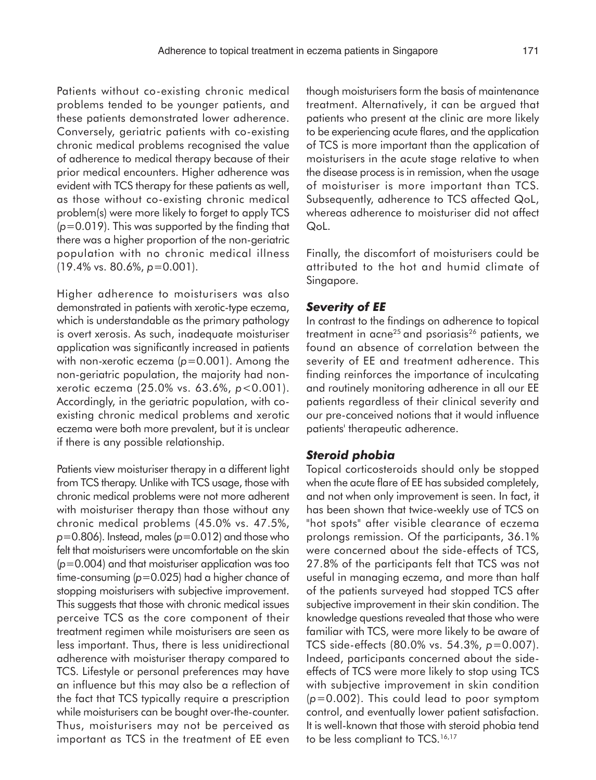Patients without co-existing chronic medical problems tended to be younger patients, and these patients demonstrated lower adherence. Conversely, geriatric patients with co-existing chronic medical problems recognised the value of adherence to medical therapy because of their prior medical encounters. Higher adherence was evident with TCS therapy for these patients as well, as those without co-existing chronic medical problem(s) were more likely to forget to apply TCS (*p*=0.019). This was supported by the finding that there was a higher proportion of the non-geriatric population with no chronic medical illness (19.4% vs. 80.6%, *p*=0.001).

Higher adherence to moisturisers was also demonstrated in patients with xerotic-type eczema, which is understandable as the primary pathology is overt xerosis. As such, inadequate moisturiser application was significantly increased in patients with non-xerotic eczema (p=0.001). Among the non-geriatric population, the majority had nonxerotic eczema (25.0% vs. 63.6%, *p*<0.001). Accordingly, in the geriatric population, with coexisting chronic medical problems and xerotic eczema were both more prevalent, but it is unclear if there is any possible relationship.

Patients view moisturiser therapy in a different light from TCS therapy. Unlike with TCS usage, those with chronic medical problems were not more adherent with moisturiser therapy than those without any chronic medical problems (45.0% vs. 47.5%, *p*=0.806). Instead, males (*p*=0.012) and those who felt that moisturisers were uncomfortable on the skin (*p*=0.004) and that moisturiser application was too time-consuming ( $p=0.025$ ) had a higher chance of stopping moisturisers with subjective improvement. This suggests that those with chronic medical issues perceive TCS as the core component of their treatment regimen while moisturisers are seen as less important. Thus, there is less unidirectional adherence with moisturiser therapy compared to TCS. Lifestyle or personal preferences may have an influence but this may also be a reflection of the fact that TCS typically require a prescription while moisturisers can be bought over-the-counter. Thus, moisturisers may not be perceived as important as TCS in the treatment of EE even

though moisturisers form the basis of maintenance treatment. Alternatively, it can be argued that patients who present at the clinic are more likely to be experiencing acute flares, and the application of TCS is more important than the application of moisturisers in the acute stage relative to when the disease process is in remission, when the usage of moisturiser is more important than TCS. Subsequently, adherence to TCS affected QoL, whereas adherence to moisturiser did not affect QoL.

Finally, the discomfort of moisturisers could be attributed to the hot and humid climate of Singapore.

### *Severity of EE*

In contrast to the findings on adherence to topical treatment in acne<sup>25</sup> and psoriasis<sup>26</sup> patients, we found an absence of correlation between the severity of EE and treatment adherence. This finding reinforces the importance of inculcating and routinely monitoring adherence in all our EE patients regardless of their clinical severity and our pre-conceived notions that it would influence patients' therapeutic adherence.

#### *Steroid phobia*

Topical corticosteroids should only be stopped when the acute flare of EE has subsided completely, and not when only improvement is seen. In fact, it has been shown that twice-weekly use of TCS on "hot spots" after visible clearance of eczema prolongs remission. Of the participants, 36.1% were concerned about the side-effects of TCS, 27.8% of the participants felt that TCS was not useful in managing eczema, and more than half of the patients surveyed had stopped TCS after subjective improvement in their skin condition. The knowledge questions revealed that those who were familiar with TCS, were more likely to be aware of TCS side-effects (80.0% vs. 54.3%, *p*=0.007). Indeed, participants concerned about the sideeffects of TCS were more likely to stop using TCS with subjective improvement in skin condition (*p*=0.002). This could lead to poor symptom control, and eventually lower patient satisfaction. It is well-known that those with steroid phobia tend to be less compliant to TCS.<sup>16,17</sup>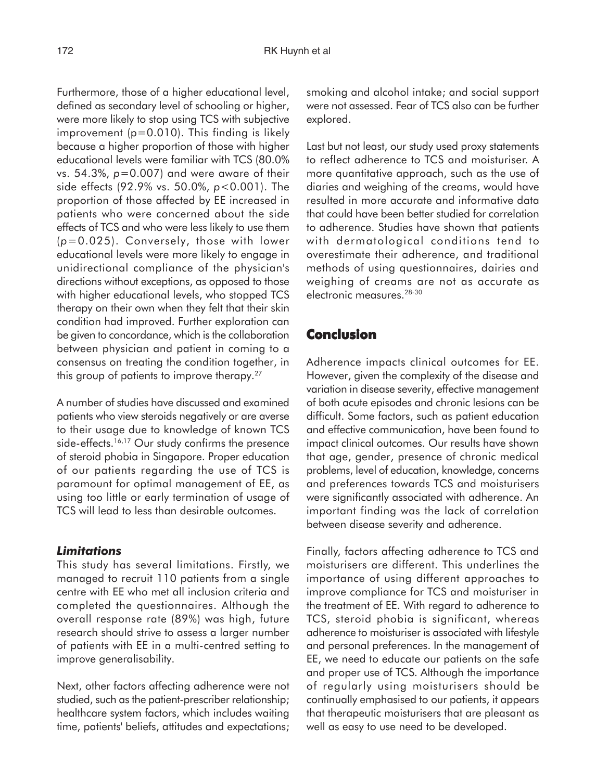Furthermore, those of a higher educational level, defined as secondary level of schooling or higher, were more likely to stop using TCS with subjective improvement (p=0.010). This finding is likely because a higher proportion of those with higher educational levels were familiar with TCS (80.0% vs. 54.3%, *p*=0.007) and were aware of their side effects (92.9% vs. 50.0%, *p*<0.001). The proportion of those affected by EE increased in patients who were concerned about the side effects of TCS and who were less likely to use them (*p*=0.025). Conversely, those with lower educational levels were more likely to engage in unidirectional compliance of the physician's directions without exceptions, as opposed to those with higher educational levels, who stopped TCS therapy on their own when they felt that their skin condition had improved. Further exploration can be given to concordance, which is the collaboration between physician and patient in coming to a consensus on treating the condition together, in this group of patients to improve therapy.<sup>27</sup>

A number of studies have discussed and examined patients who view steroids negatively or are averse to their usage due to knowledge of known TCS side-effects.<sup>16,17</sup> Our study confirms the presence of steroid phobia in Singapore. Proper education of our patients regarding the use of TCS is paramount for optimal management of EE, as using too little or early termination of usage of TCS will lead to less than desirable outcomes.

#### *Limitations*

This study has several limitations. Firstly, we managed to recruit 110 patients from a single centre with EE who met all inclusion criteria and completed the questionnaires. Although the overall response rate (89%) was high, future research should strive to assess a larger number of patients with EE in a multi-centred setting to improve generalisability.

Next, other factors affecting adherence were not studied, such as the patient-prescriber relationship; healthcare system factors, which includes waiting time, patients' beliefs, attitudes and expectations; smoking and alcohol intake; and social support were not assessed. Fear of TCS also can be further explored.

Last but not least, our study used proxy statements to reflect adherence to TCS and moisturiser. A more quantitative approach, such as the use of diaries and weighing of the creams, would have resulted in more accurate and informative data that could have been better studied for correlation to adherence. Studies have shown that patients with dermatological conditions tend to overestimate their adherence, and traditional methods of using questionnaires, dairies and weighing of creams are not as accurate as electronic measures.28-30

## **Conclusion**

Adherence impacts clinical outcomes for EE. However, given the complexity of the disease and variation in disease severity, effective management of both acute episodes and chronic lesions can be difficult. Some factors, such as patient education and effective communication, have been found to impact clinical outcomes. Our results have shown that age, gender, presence of chronic medical problems, level of education, knowledge, concerns and preferences towards TCS and moisturisers were significantly associated with adherence. An important finding was the lack of correlation between disease severity and adherence.

Finally, factors affecting adherence to TCS and moisturisers are different. This underlines the importance of using different approaches to improve compliance for TCS and moisturiser in the treatment of EE. With regard to adherence to TCS, steroid phobia is significant, whereas adherence to moisturiser is associated with lifestyle and personal preferences. In the management of EE, we need to educate our patients on the safe and proper use of TCS. Although the importance of regularly using moisturisers should be continually emphasised to our patients, it appears that therapeutic moisturisers that are pleasant as well as easy to use need to be developed.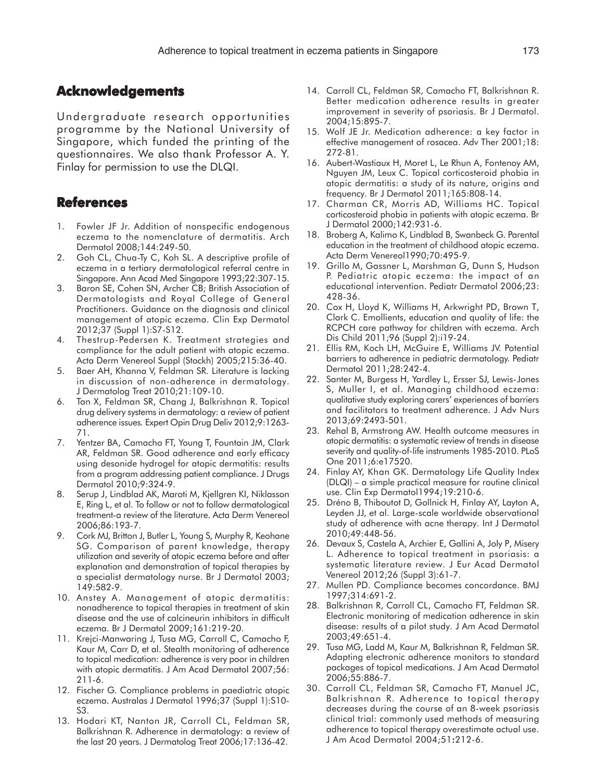### **Acknowledgements**

Undergraduate research opportunities programme by the National University of Singapore, which funded the printing of the questionnaires. We also thank Professor A. Y. Finlay for permission to use the DLQI.

## **References**

- 1. Fowler JF Jr. Addition of nonspecific endogenous eczema to the nomenclature of dermatitis. Arch Dermatol 2008;144:249-50.
- 2. Goh CL, Chua-Ty C, Koh SL. A descriptive profile of eczema in a tertiary dermatological referral centre in Singapore. Ann Acad Med Singapore 1993;22:307-15.
- 3. Baron SE, Cohen SN, Archer CB; British Association of Dermatologists and Royal College of General Practitioners. Guidance on the diagnosis and clinical management of atopic eczema. Clin Exp Dermatol 2012;37 (Suppl 1):S7-S12.
- 4. Thestrup-Pedersen K. Treatment strategies and compliance for the adult patient with atopic eczema. Acta Derm Venereol Suppl (Stockh) 2005;215:36-40.
- 5. Baer AH, Khanna V, Feldman SR. Literature is lacking in discussion of non-adherence in dermatology. J Dermatolog Treat 2010;21:109-10.
- 6. Tan X, Feldman SR, Chang J, Balkrishnan R. Topical drug delivery systems in dermatology: a review of patient adherence issues*.* Expert Opin Drug Deliv 2012;9:1263- 71.
- 7. Yentzer BA, Camacho FT, Young T, Fountain JM, Clark AR, Feldman SR. Good adherence and early efficacy using desonide hydrogel for atopic dermatitis: results from a program addressing patient compliance. J Drugs Dermatol 2010;9:324-9.
- 8. Serup J, Lindblad AK, Maroti M, Kjellgren KI, Niklasson E, Ring L, et al. To follow or not to follow dermatological treatment-a review of the literature. Acta Derm Venereol 2006;86:193-7.
- 9. Cork MJ, Britton J, Butler L, Young S, Murphy R, Keohane SG. Comparison of parent knowledge, therapy utilization and severity of atopic eczema before and after explanation and demonstration of topical therapies by a specialist dermatology nurse. Br J Dermatol 2003; 149:582-9.
- 10. Anstey A. Management of atopic dermatitis: nonadherence to topical therapies in treatment of skin disease and the use of calcineurin inhibitors in difficult eczema. Br J Dermatol 2009;161:219-20.
- 11. Krejci-Manwaring J, Tusa MG, Carroll C, Camacho F, Kaur M, Carr D, et al. Stealth monitoring of adherence to topical medication: adherence is very poor in children with atopic dermatitis. J Am Acad Dermatol 2007;56: 211-6.
- 12. Fischer G. Compliance problems in paediatric atopic eczema. Australas J Dermatol 1996;37 (Suppl 1):S10- S3.
- 13. Hodari KT, Nanton JR, Carroll CL, Feldman SR, Balkrishnan R. Adherence in dermatology: a review of the last 20 years. J Dermatolog Treat 2006;17:136-42.
- 14. Carroll CL, Feldman SR, Camacho FT, Balkrishnan R. Better medication adherence results in greater improvement in severity of psoriasis. Br J Dermatol. 2004;15:895-7.
- 15. Wolf JE Jr. Medication adherence: a key factor in effective management of rosacea. Adv Ther 2001;18: 272-81.
- 16. Aubert-Wastiaux H, Moret L, Le Rhun A, Fontenoy AM, Nguyen JM, Leux C. Topical corticosteroid phobia in atopic dermatitis: a study of its nature, origins and frequency. Br J Dermatol 2011;165:808-14.
- 17. Charman CR, Morris AD, Williams HC. Topical corticosteroid phobia in patients with atopic eczema. Br J Dermatol 2000;142:931-6.
- 18. Broberg A, Kalimo K, Lindblad B, Swanbeck G. Parental education in the treatment of childhood atopic eczema. Acta Derm Venereol1990;70:495-9.
- 19. Grillo M, Gassner L, Marshman G, Dunn S, Hudson P. Pediatric atopic eczema: the impact of an educational intervention. Pediatr Dermatol 2006;23: 428-36.
- 20. Cox H, Lloyd K, Williams H, Arkwright PD, Brown T, Clark C. Emollients, education and quality of life: the RCPCH care pathway for children with eczema. Arch Dis Child 2011;96 (Suppl 2):i19-24.
- 21. Ellis RM, Koch LH, McGuire E, Williams JV. Potential barriers to adherence in pediatric dermatology. Pediatr Dermatol 2011;28:242-4.
- 22. Santer M, Burgess H, Yardley L, Ersser SJ, Lewis-Jones S, Muller I, et al. Managing childhood eczema: qualitative study exploring carers' experiences of barriers and facilitators to treatment adherence. J Adv Nurs 2013;69:2493-501.
- 23. Rehal B, Armstrong AW. Health outcome measures in atopic dermatitis: a systematic review of trends in disease severity and quality-of-life instruments 1985-2010. PLoS One 2011;6:e17520.
- 24. Finlay AY, Khan GK. Dermatology Life Quality Index (DLQI) – a simple practical measure for routine clinical use. Clin Exp Dermatol1994;19:210-6.
- 25. Dréno B, Thiboutot D, Gollnick H, Finlay AY, Layton A, Leyden JJ, et al. Large-scale worldwide observational study of adherence with acne therapy. Int J Dermatol 2010;49:448-56.
- 26. Devaux S, Castela A, Archier E, Gallini A, Joly P, Misery L. Adherence to topical treatment in psoriasis: a systematic literature review. J Eur Acad Dermatol Venereol 2012;26 (Suppl 3):61-7.
- 27. Mullen PD. Compliance becomes concordance. BMJ 1997;314:691-2.
- 28. Balkrishnan R, Carroll CL, Camacho FT, Feldman SR. Electronic monitoring of medication adherence in skin disease: results of a pilot study. J Am Acad Dermatol 2003;49:651-4.
- 29. Tusa MG, Ladd M, Kaur M, Balkrishnan R, Feldman SR. Adapting electronic adherence monitors to standard packages of topical medications. J Am Acad Dermatol 2006;55:886-7.
- 30. Carroll CL, Feldman SR, Camacho FT, Manuel JC, Balkrishnan R. Adherence to topical therapy decreases during the course of an 8-week psoriasis clinical trial: commonly used methods of measuring adherence to topical therapy overestimate actual use. J Am Acad Dermatol 2004;51:212-6. :